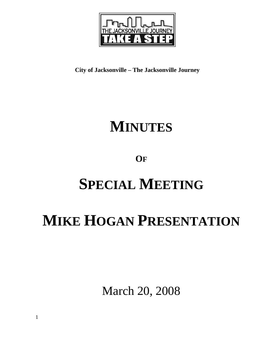

**City of Jacksonville – The Jacksonville Journey** 

# **MINUTES**

### **OF**

# **SPECIAL MEETING**

## **MIKE HOGAN PRESENTATION**

March 20, 2008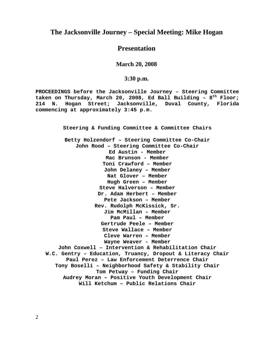### **The Jacksonville Journey – Special Meeting: Mike Hogan**

### **Presentation**

**March 20, 2008** 

#### **3:30 p.m.**

**PROCEEDINGS before the Jacksonville Journey – Steering Committee taken on Thursday, March 20, 2008, Ed Ball Building – 8th Floor; 214 N. Hogan Street; Jacksonville, Duval County, Florida commencing at approximately 3:45 p.m.** 

**Steering & Funding Committee & Committee Chairs Betty Holzendorf – Steering Committee Co-Chair John Rood – Steering Committee Co-Chair Ed Austin - Member Mac Brunson - Member Toni Crawford – Member John Delaney – Member Nat Glover – Member Hugh Green – Member Steve Halverson – Member Dr. Adam Herbert – Member Pete Jackson – Member Rev. Rudolph McKissick, Sr. Jim McMillan – Member Pam Paul – Member Gertrude Peele – Member Steve Wallace – Member Cleve Warren – Member Wayne Weaver - Member John Coxwell – Intervention & Rehabilitation Chair W.C. Gentry – Education, Truancy, Dropout & Literacy Chair Paul Perez – Law Enforcement Deterrence Chair Tony Boselli – Neighborhood Safety & Stability Chair Tom Petway – Funding Chair Audrey Moran – Positive Youth Development Chair Will Ketchum – Public Relations Chair**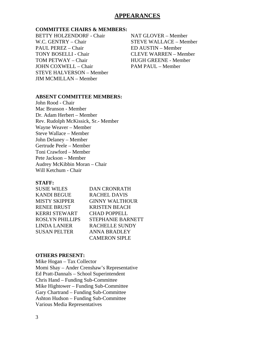#### **APPEARANCES**

#### **COMMITTEE CHAIRS & MEMBERS:**

BETTY HOLZENDORF - Chair W.C. GENTRY – Chair PAUL PEREZ – Chair TONY BOSELLI - Chair TOM PETWAY – Chair JOHN COXWELL – Chair STEVE HALVERSON – Member JIM MCMILLAN – Member

NAT GLOVER – Member STEVE WALLACE – Member ED AUSTIN – Member CLEVE WARREN – Member HUGH GREENE - Member PAM PAUL – Member

#### **ABSENT COMMITTEE MEMBERS:**

John Rood - Chair Mac Brunson - Member Dr. Adam Herbert – Member Rev. Rudolph McKissick, Sr.- Member Wayne Weaver – Member Steve Wallace – Member John Delaney – Member Gertrude Peele – Member Toni Crawford – Member Pete Jackson – Member Audrey McKibbin Moran – Chair Will Ketchum - Chair

#### **STAFF:**

| <b>SUSIE WILES</b>     | <b>DAN CRONRATH</b>      |
|------------------------|--------------------------|
| <b>KANDI BEGUE</b>     | <b>RACHEL DAVIS</b>      |
| <b>MISTY SKIPPER</b>   | <b>GINNY WALTHOUR</b>    |
| <b>RENEE BRUST</b>     | <b>KRISTEN BEACH</b>     |
| <b>KERRI STEWART</b>   | <b>CHAD POPPELL</b>      |
| <b>ROSLYN PHILLIPS</b> | <b>STEPHANIE BARNETT</b> |
| <b>LINDA LANIER</b>    | <b>RACHELLE SUNDY</b>    |
| <b>SUSAN PELTER</b>    | <b>ANNA BRADLEY</b>      |
|                        | <b>CAMERON SIPLE</b>     |

#### **OTHERS PRESENT:**

Mike Hogan – Tax Collector Momi Shay – Ander Crenshaw's Representative Ed Pratt-Dannals – School Superintendent Chris Hand – Funding Sub-Committee Mike Hightower – Funding Sub-Committee Gary Chartrand – Funding Sub-Committee Ashton Hudson – Funding Sub-Committee Various Media Representatives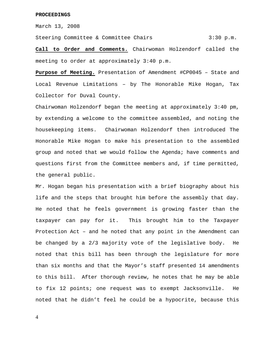March 13, 2008

Steering Committee & Committee Chairs 3:30 p.m.

**Call to Order and Comments.** Chairwoman Holzendorf called the meeting to order at approximately 3:40 p.m.

**Purpose of Meeting.** Presentation of Amendment #CP0045 – State and Local Revenue Limitations – by The Honorable Mike Hogan, Tax Collector for Duval County.

Chairwoman Holzendorf began the meeting at approximately 3:40 pm, by extending a welcome to the committee assembled, and noting the housekeeping items. Chairwoman Holzendorf then introduced The Honorable Mike Hogan to make his presentation to the assembled group and noted that we would follow the Agenda; have comments and questions first from the Committee members and, if time permitted, the general public.

Mr. Hogan began his presentation with a brief biography about his life and the steps that brought him before the assembly that day. He noted that he feels government is growing faster than the taxpayer can pay for it. This brought him to the Taxpayer Protection Act – and he noted that any point in the Amendment can be changed by a 2/3 majority vote of the legislative body. He noted that this bill has been through the legislature for more than six months and that the Mayor's staff presented 14 amendments to this bill. After thorough review, he notes that he may be able to fix 12 points; one request was to exempt Jacksonville. He noted that he didn't feel he could be a hypocrite, because this

4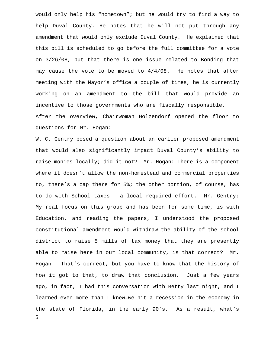would only help his "hometown"; but he would try to find a way to help Duval County. He notes that he will not put through any amendment that would only exclude Duval County. He explained that this bill is scheduled to go before the full committee for a vote on 3/26/08, but that there is one issue related to Bonding that may cause the vote to be moved to 4/4/08. He notes that after meeting with the Mayor's office a couple of times, he is currently working on an amendment to the bill that would provide an incentive to those governments who are fiscally responsible. After the overview, Chairwoman Holzendorf opened the floor to questions for Mr. Hogan:

5 W. C. Gentry posed a question about an earlier proposed amendment that would also significantly impact Duval County's ability to raise monies locally; did it not? Mr. Hogan: There is a component where it doesn't allow the non-homestead and commercial properties to, there's a cap there for 5%; the other portion, of course, has to do with School taxes – a local required effort. Mr. Gentry: My real focus on this group and has been for some time, is with Education, and reading the papers, I understood the proposed constitutional amendment would withdraw the ability of the school district to raise 5 mills of tax money that they are presently able to raise here in our local community, is that correct? Mr. Hogan: That's correct, but you have to know that the history of how it got to that, to draw that conclusion. Just a few years ago, in fact, I had this conversation with Betty last night, and I learned even more than I knew…we hit a recession in the economy in the state of Florida, in the early 90's. As a result, what's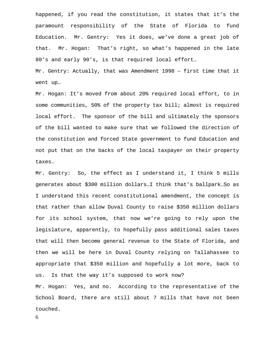happened, if you read the constitution, it states that it's the paramount responsibility of the State of Florida to fund Education. Mr. Gentry: Yes it does, we've done a great job of that. Mr. Hogan: That's right, so what's happened in the late 80's and early 90's, is that required local effort…

Mr. Gentry: Actually, that was Amendment 1998 – first time that it went up…

Mr. Hogan: It's moved from about 20% required local effort, to in some communities, 50% of the property tax bill; almost is required local effort. The sponsor of the bill and ultimately the sponsors of the bill wanted to make sure that we followed the direction of the constitution and forced State government to fund Education and not put that on the backs of the local taxpayer on their property taxes.

Mr. Gentry: So, the effect as I understand it, I think 5 mills generates about \$300 million dollars…I think that's ballpark…So as I understand this recent constitutional amendment, the concept is that rather than allow Duval County to raise \$350 million dollars for its school system, that now we're going to rely upon the legislature, apparently, to hopefully pass additional sales taxes that will then become general revenue to the State of Florida, and then we will be here in Duval County relying on Tallahassee to appropriate that \$350 million and hopefully a lot more, back to us. Is that the way it's supposed to work now? Mr. Hogan: Yes, and no. According to the representative of the School Board, there are still about 7 mills that have not been

6

touched.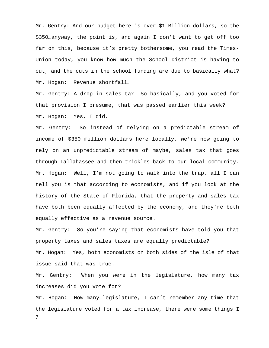Mr. Gentry: And our budget here is over \$1 Billion dollars, so the \$350…anyway, the point is, and again I don't want to get off too far on this, because it's pretty bothersome, you read the Times-Union today, you know how much the School District is having to cut, and the cuts in the school funding are due to basically what? Mr. Hogan: Revenue shortfall...

Mr. Gentry: A drop in sales tax… So basically, and you voted for that provision I presume, that was passed earlier this week? Mr. Hogan: Yes, I did.

Mr. Gentry: So instead of relying on a predictable stream of income of \$350 million dollars here locally, we're now going to rely on an unpredictable stream of maybe, sales tax that goes through Tallahassee and then trickles back to our local community. Mr. Hogan: Well, I'm not going to walk into the trap, all I can tell you is that according to economists, and if you look at the history of the State of Florida, that the property and sales tax have both been equally affected by the economy, and they're both equally effective as a revenue source.

Mr. Gentry: So you're saying that economists have told you that property taxes and sales taxes are equally predictable? Mr. Hogan: Yes, both economists on both sides of the isle of that issue said that was true.

Mr. Gentry: When you were in the legislature, how many tax increases did you vote for?

7 Mr. Hogan: How many…legislature, I can't remember any time that the legislature voted for a tax increase, there were some things I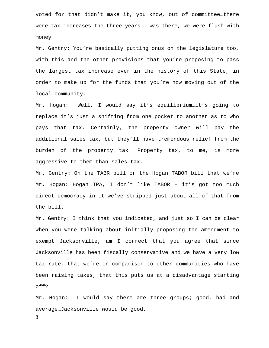voted for that didn't make it, you know, out of committee…there were tax increases the three years I was there, we were flush with money.

Mr. Gentry: You're basically putting onus on the legislature too, with this and the other provisions that you're proposing to pass the largest tax increase ever in the history of this State, in order to make up for the funds that you're now moving out of the local community.

Mr. Hogan: Well, I would say it's equilibrium…it's going to replace…it's just a shifting from one pocket to another as to who pays that tax. Certainly, the property owner will pay the additional sales tax, but they'll have tremendous relief from the burden of the property tax. Property tax, to me, is more aggressive to them than sales tax.

Mr. Gentry: On the TABR bill or the Hogan TABOR bill that we're Mr. Hogan: Hogan TPA, I don't like TABOR – it's got too much direct democracy in it…we've stripped just about all of that from the bill.

Mr. Gentry: I think that you indicated, and just so I can be clear when you were talking about initially proposing the amendment to exempt Jacksonville, am I correct that you agree that since Jacksonville has been fiscally conservative and we have a very low tax rate, that we're in comparison to other communities who have been raising taxes, that this puts us at a disadvantage starting off?

Mr. Hogan: I would say there are three groups; good, bad and average…Jacksonville would be good.

8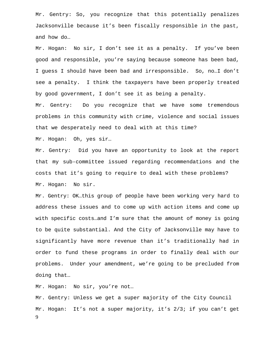Mr. Gentry: So, you recognize that this potentially penalizes Jacksonville because it's been fiscally responsible in the past, and how do…

Mr. Hogan: No sir, I don't see it as a penalty. If you've been good and responsible, you're saying because someone has been bad, I guess I should have been bad and irresponsible. So, no…I don't see a penalty. I think the taxpayers have been properly treated by good government, I don't see it as being a penalty.

Mr. Gentry: Do you recognize that we have some tremendous problems in this community with crime, violence and social issues that we desperately need to deal with at this time?

Mr. Hogan: Oh, yes sir…

Mr. Gentry: Did you have an opportunity to look at the report that my sub-committee issued regarding recommendations and the costs that it's going to require to deal with these problems? Mr. Hogan: No sir.

Mr. Gentry: OK…this group of people have been working very hard to address these issues and to come up with action items and come up with specific costs…and I'm sure that the amount of money is going to be quite substantial. And the City of Jacksonville may have to significantly have more revenue than it's traditionally had in order to fund these programs in order to finally deal with our problems. Under your amendment, we're going to be precluded from doing that…

Mr. Hogan: No sir, you're not…

9 Mr. Gentry: Unless we get a super majority of the City Council Mr. Hogan: It's not a super majority, it's 2/3; if you can't get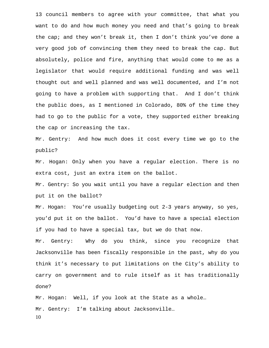13 council members to agree with your committee, that what you want to do and how much money you need and that's going to break the cap; and they won't break it, then I don't think you've done a very good job of convincing them they need to break the cap. But absolutely, police and fire, anything that would come to me as a legislator that would require additional funding and was well thought out and well planned and was well documented, and I'm not going to have a problem with supporting that. And I don't think the public does, as I mentioned in Colorado, 80% of the time they had to go to the public for a vote, they supported either breaking the cap or increasing the tax.

Mr. Gentry: And how much does it cost every time we go to the public?

Mr. Hogan: Only when you have a regular election. There is no extra cost, just an extra item on the ballot.

Mr. Gentry: So you wait until you have a regular election and then put it on the ballot?

Mr. Hogan: You're usually budgeting out 2-3 years anyway, so yes, you'd put it on the ballot. You'd have to have a special election if you had to have a special tax, but we do that now.

Mr. Gentry: Why do you think, since you recognize that Jacksonville has been fiscally responsible in the past, why do you think it's necessary to put limitations on the City's ability to carry on government and to rule itself as it has traditionally done?

10 Mr. Hogan: Well, if you look at the State as a whole… Mr. Gentry: I'm talking about Jacksonville…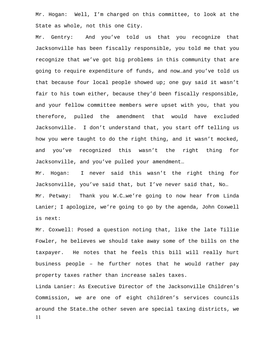Mr. Hogan: Well, I'm charged on this committee, to look at the State as whole, not this one City.

Mr. Gentry: And you've told us that you recognize that Jacksonville has been fiscally responsible, you told me that you recognize that we've got big problems in this community that are going to require expenditure of funds, and now…and you've told us that because four local people showed up; one guy said it wasn't fair to his town either, because they'd been fiscally responsible, and your fellow committee members were upset with you, that you therefore, pulled the amendment that would have excluded Jacksonville. I don't understand that, you start off telling us how you were taught to do the right thing, and it wasn't mocked, and you've recognized this wasn't the right thing for Jacksonville, and you've pulled your amendment…

Mr. Hogan: I never said this wasn't the right thing for Jacksonville, you've said that, but I've never said that, No… Mr. Petway: Thank you W.C…we're going to now hear from Linda Lanier; I apologize, we're going to go by the agenda, John Coxwell is next:

Mr. Coxwell: Posed a question noting that, like the late Tillie Fowler, he believes we should take away some of the bills on the taxpayer. He notes that he feels this bill will really hurt business people – he further notes that he would rather pay property taxes rather than increase sales taxes.

11 Linda Lanier: As Executive Director of the Jacksonville Children's Commission, we are one of eight children's services councils around the State…the other seven are special taxing districts, we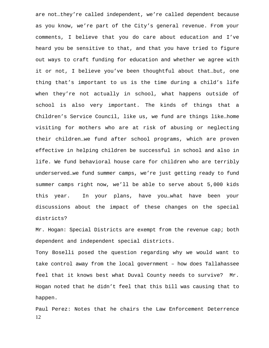are not…they're called independent, we're called dependent because as you know, we're part of the City's general revenue. From your comments, I believe that you do care about education and I've heard you be sensitive to that, and that you have tried to figure out ways to craft funding for education and whether we agree with it or not, I believe you've been thoughtful about that…but, one thing that's important to us is the time during a child's life when they're not actually in school, what happens outside of school is also very important. The kinds of things that a Children's Service Council, like us, we fund are things like…home visiting for mothers who are at risk of abusing or neglecting their children…we fund after school programs, which are proven effective in helping children be successful in school and also in life. We fund behavioral house care for children who are terribly underserved…we fund summer camps, we're just getting ready to fund summer camps right now, we'll be able to serve about 5,000 kids this year. In your plans, have you…what have been your discussions about the impact of these changes on the special districts?

Mr. Hogan: Special Districts are exempt from the revenue cap; both dependent and independent special districts.

Tony Boselli posed the question regarding why we would want to take control away from the local government – how does Tallahassee feel that it knows best what Duval County needs to survive? Mr. Hogan noted that he didn't feel that this bill was causing that to happen.

12 Paul Perez: Notes that he chairs the Law Enforcement Deterrence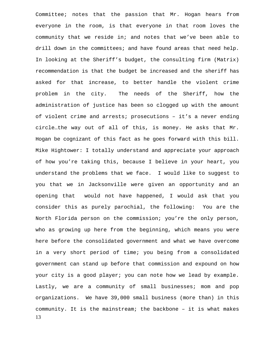13 Committee; notes that the passion that Mr. Hogan hears from everyone in the room, is that everyone in that room loves the community that we reside in; and notes that we've been able to drill down in the committees; and have found areas that need help. In looking at the Sheriff's budget, the consulting firm (Matrix) recommendation is that the budget be increased and the sheriff has asked for that increase, to better handle the violent crime problem in the city. The needs of the Sheriff, how the administration of justice has been so clogged up with the amount of violent crime and arrests; prosecutions – it's a never ending circle…the way out of all of this, is money. He asks that Mr. Hogan be cognizant of this fact as he goes forward with this bill. Mike Hightower: I totally understand and appreciate your approach of how you're taking this, because I believe in your heart, you understand the problems that we face. I would like to suggest to you that we in Jacksonville were given an opportunity and an opening that would not have happened, I would ask that you consider this as purely parochial, the following: You are the North Florida person on the commission; you're the only person, who as growing up here from the beginning, which means you were here before the consolidated government and what we have overcome in a very short period of time; you being from a consolidated government can stand up before that commission and expound on how your city is a good player; you can note how we lead by example. Lastly, we are a community of small businesses; mom and pop organizations. We have 39,000 small business (more than) in this community. It is the mainstream; the backbone – it is what makes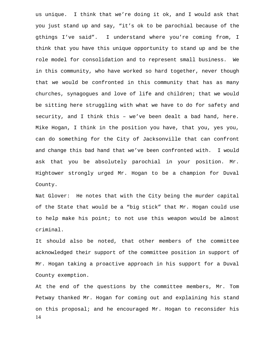us unique. I think that we're doing it ok, and I would ask that you just stand up and say, "it's ok to be parochial because of the gthings I've said". I understand where you're coming from, I think that you have this unique opportunity to stand up and be the role model for consolidation and to represent small business. We in this community, who have worked so hard together, never though that we would be confronted in this community that has as many churches, synagogues and love of life and children; that we would be sitting here struggling with what we have to do for safety and security, and I think this – we've been dealt a bad hand, here. Mike Hogan, I think in the position you have, that you, yes you, can do something for the City of Jacksonville that can confront and change this bad hand that we've been confronted with. I would ask that you be absolutely parochial in your position. Mr. Hightower strongly urged Mr. Hogan to be a champion for Duval County.

Nat Glover: He notes that with the City being the murder capital of the State that would be a "big stick" that Mr. Hogan could use to help make his point; to not use this weapon would be almost criminal.

It should also be noted, that other members of the committee acknowledged their support of the committee position in support of Mr. Hogan taking a proactive approach in his support for a Duval County exemption.

14 At the end of the questions by the committee members, Mr. Tom Petway thanked Mr. Hogan for coming out and explaining his stand on this proposal; and he encouraged Mr. Hogan to reconsider his